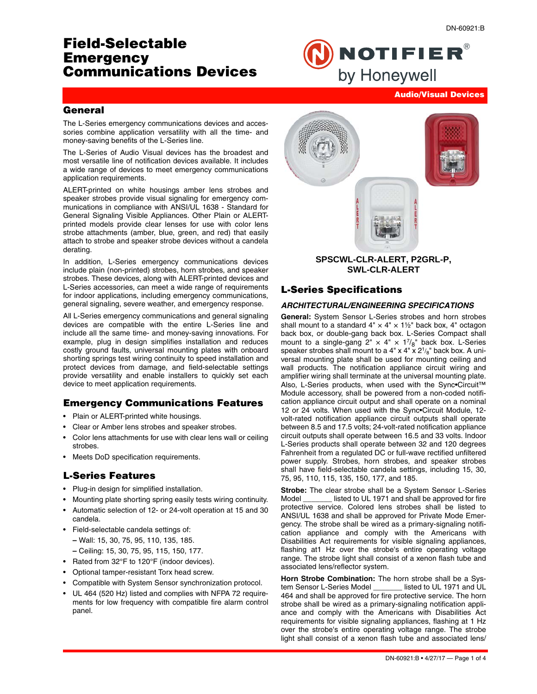**Audio/Visual Devices**

# **Field-Selectable Emergency Communications Devices**



### **General**

The L-Series emergency communications devices and accessories combine application versatility with all the time- and money-saving benefits of the L-Series line.

The L-Series of Audio Visual devices has the broadest and most versatile line of notification devices available. It includes a wide range of devices to meet emergency communications application requirements.

ALERT-printed on white housings amber lens strobes and speaker strobes provide visual signaling for emergency communications in compliance with ANSI/UL 1638 - Standard for General Signaling Visible Appliances. Other Plain or ALERTprinted models provide clear lenses for use with color lens strobe attachments (amber, blue, green, and red) that easily attach to strobe and speaker strobe devices without a candela derating.

In addition, L-Series emergency communications devices include plain (non-printed) strobes, horn strobes, and speaker strobes. These devices, along with ALERT-printed devices and L-Series accessories, can meet a wide range of requirements for indoor applications, including emergency communications, general signaling, severe weather, and emergency response.

All L-Series emergency communications and general signaling devices are compatible with the entire L-Series line and include all the same time- and money-saving innovations. For example, plug in design simplifies installation and reduces costly ground faults, universal mounting plates with onboard shorting springs test wiring continuity to speed installation and protect devices from damage, and field-selectable settings provide versatility and enable installers to quickly set each device to meet application requirements.

## **Emergency Communications Features**

- Plain or ALERT-printed white housings.
- Clear or Amber lens strobes and speaker strobes.
- Color lens attachments for use with clear lens wall or ceiling strobes.
- Meets DoD specification requirements.

### **L-Series Features**

- Plug-in design for simplified installation.
- Mounting plate shorting spring easily tests wiring continuity.
- Automatic selection of 12- or 24-volt operation at 15 and 30 candela.
- Field-selectable candela settings of:
	- **–** Wall: 15, 30, 75, 95, 110, 135, 185.
	- **–** Ceiling: 15, 30, 75, 95, 115, 150, 177.
- Rated from 32°F to 120°F (indoor devices).
- Optional tamper-resistant Torx head screw.
- Compatible with System Sensor synchronization protocol.
- UL 464 (520 Hz) listed and complies with NFPA 72 requirements for low frequency with compatible fire alarm control panel.



### **SPSCWL-CLR-ALERT, P2GRL-P, SWL-CLR-ALERT**

### **L-Series Specifications**

#### *ARCHITECTURAL/ENGINEERING SPECIFICATIONS*

**General:** System Sensor L-Series strobes and horn strobes shall mount to a standard  $4" \times 4" \times 1\frac{1}{2}$ " back box, 4" octagon back box, or double-gang back box. L-Series Compact shall mount to a single-gang  $2'' \times 4'' \times 1^{7}/8''$  back box. L-Series speaker strobes shall mount to a  $4" \times 4" \times 2^{1/8}$ " back box. A universal mounting plate shall be used for mounting ceiling and wall products. The notification appliance circuit wiring and amplifier wiring shall terminate at the universal mounting plate. Also, L-Series products, when used with the Sync•Circuit™ Module accessory, shall be powered from a non-coded notification appliance circuit output and shall operate on a nominal 12 or 24 volts. When used with the Sync•Circuit Module, 12 volt-rated notification appliance circuit outputs shall operate between 8.5 and 17.5 volts; 24-volt-rated notification appliance circuit outputs shall operate between 16.5 and 33 volts. Indoor L-Series products shall operate between 32 and 120 degrees Fahrenheit from a regulated DC or full-wave rectified unfiltered power supply. Strobes, horn strobes, and speaker strobes shall have field-selectable candela settings, including 15, 30, 75, 95, 110, 115, 135, 150, 177, and 185.

**Strobe:** The clear strobe shall be a System Sensor L-Series Model \_\_\_\_\_\_\_ listed to UL 1971 and shall be approved for fire protective service. Colored lens strobes shall be listed to ANSI/UL 1638 and shall be approved for Private Mode Emergency. The strobe shall be wired as a primary-signaling notification appliance and comply with the Americans with Disabilities Act requirements for visible signaling appliances, flashing at1 Hz over the strobe's entire operating voltage range. The strobe light shall consist of a xenon flash tube and associated lens/reflector system.

**Horn Strobe Combination:** The horn strobe shall be a System Sensor L-Series Model \_\_\_\_\_\_\_\_ listed to UL 1971 and UL tem Sensor L-Series Model 464 and shall be approved for fire protective service. The horn strobe shall be wired as a primary-signaling notification appliance and comply with the Americans with Disabilities Act requirements for visible signaling appliances, flashing at 1 Hz over the strobe's entire operating voltage range. The strobe light shall consist of a xenon flash tube and associated lens/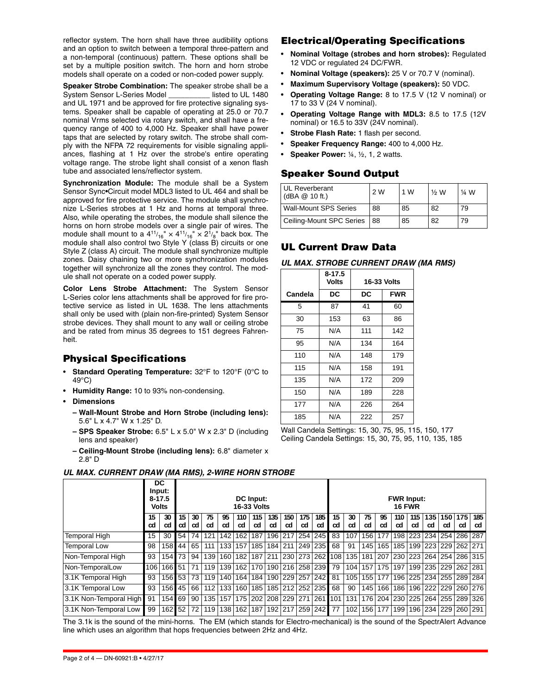reflector system. The horn shall have three audibility options and an option to switch between a temporal three-pattern and a non-temporal (continuous) pattern. These options shall be set by a multiple position switch. The horn and horn strobe models shall operate on a coded or non-coded power supply.

**Speaker Strobe Combination:** The speaker strobe shall be a System Sensor L-Series Model \_\_\_\_\_\_\_\_\_\_ listed to UL 1480 and UL 1971 and be approved for fire protective signaling systems. Speaker shall be capable of operating at 25.0 or 70.7 nominal Vrms selected via rotary switch, and shall have a frequency range of 400 to 4,000 Hz. Speaker shall have power taps that are selected by rotary switch. The strobe shall comply with the NFPA 72 requirements for visible signaling appliances, flashing at 1 Hz over the strobe's entire operating voltage range. The strobe light shall consist of a xenon flash tube and associated lens/reflector system.

**Synchronization Module:** The module shall be a System Sensor Sync•Circuit model MDL3 listed to UL 464 and shall be approved for fire protective service. The module shall synchronize L-Series strobes at 1 Hz and horns at temporal three. Also, while operating the strobes, the module shall silence the horns on horn strobe models over a single pair of wires. The module shall mount to a  $4^{11}\!/_{16}$ "  $\times$   $4^{11}\!/_{16}$ "  $\times$   $2^{1}\!/_{8}$ " back box. The module shall also control two Style Y (class B) circuits or one Style Z (class A) circuit. The module shall synchronize multiple zones. Daisy chaining two or more synchronization modules together will synchronize all the zones they control. The module shall not operate on a coded power supply.

**Color Lens Strobe Attachment:** The System Sensor L-Series color lens attachments shall be approved for fire protective service as listed in UL 1638. The lens attachments shall only be used with (plain non-fire-printed) System Sensor strobe devices. They shall mount to any wall or ceiling strobe and be rated from minus 35 degrees to 151 degrees Fahrenheit.

## **Physical Specifications**

- **Standard Operating Temperature:** 32°F to 120°F (0°C to 49°C)
- **Humidity Range:** 10 to 93% non-condensing.
- **Dimensions**
	- **Wall-Mount Strobe and Horn Strobe (including lens):** 5.6" L x 4.7" W x 1.25" D.
	- **SPS Speaker Strobe:** 6.5" L x 5.0" W x 2.3" D (including lens and speaker)
	- **Ceiling-Mount Strobe (including lens):** 6.8" diameter x 2.8" D

## **Electrical/Operating Specifications**

- **Nominal Voltage (strobes and horn strobes):** Regulated 12 VDC or regulated 24 DC/FWR.
- **Nominal Voltage (speakers):** 25 V or 70.7 V (nominal).
- **Maximum Supervisory Voltage (speakers):** 50 VDC.
- **Operating Voltage Range:** 8 to 17.5 V (12 V nominal) or 17 to 33 V (24 V nominal).
- **Operating Voltage Range with MDL3:** 8.5 to 17.5 (12V nominal) or 16.5 to 33V (24V nominal).
- **Strobe Flash Rate:** 1 flash per second.
- **Speaker Frequency Range:** 400 to 4,000 Hz.
- **Speaker Power:** ¼, ½, 1, 2 watts.

## **Speaker Sound Output**

| <b>UL Reverberant</b><br>$(dBA \& 10 ft.)$ | 2W        | 1 W | ½ W | 1⁄4 W |
|--------------------------------------------|-----------|-----|-----|-------|
| <b>Wall-Mount SPS Series</b>               | 88        | 85  | 82  | 79    |
| Ceiling-Mount SPC Series                   | <b>88</b> | 85  | 82  | 79    |

## **UL Current Draw Data**

| UL MAX. STROBE CURRENT DRAW (MA RMS) |  |  |
|--------------------------------------|--|--|
|--------------------------------------|--|--|

|         | 8-17.5<br>Volts | 16-33 Volts |            |  |  |  |
|---------|-----------------|-------------|------------|--|--|--|
| Candela | DC              | DC          | <b>FWR</b> |  |  |  |
| 5       | 87              | 41          | 60         |  |  |  |
| 30      | 153             | 63          | 86         |  |  |  |
| 75      | N/A             | 111         | 142        |  |  |  |
| 95      | N/A             | 134         | 164        |  |  |  |
| 110     | N/A             | 148         | 179        |  |  |  |
| 115     | N/A             | 158         | 191        |  |  |  |
| 135     | N/A             | 172         | 209        |  |  |  |
| 150     | N/A             | 189         | 228        |  |  |  |
| 177     | N/A             | 226         | 264        |  |  |  |
| 185     | N/A             | 222         | 257        |  |  |  |

Wall Candela Settings: 15, 30, 75, 95, 115, 150, 177 Ceiling Candela Settings: 15, 30, 75, 95, 110, 135, 185

|                        |          | DC<br>Input:                                           |          |          |          |          |           |                                    |           |           |           |                                               |          |          |          |          |           |                       |           |           |                         |           |
|------------------------|----------|--------------------------------------------------------|----------|----------|----------|----------|-----------|------------------------------------|-----------|-----------|-----------|-----------------------------------------------|----------|----------|----------|----------|-----------|-----------------------|-----------|-----------|-------------------------|-----------|
|                        |          | $8 - 17.5$<br><b>DC</b> Input:<br>16-33 Volts<br>Volts |          |          |          |          |           | <b>FWR Input:</b><br><b>16 FWR</b> |           |           |           |                                               |          |          |          |          |           |                       |           |           |                         |           |
|                        | 15<br>cd | 30<br>cd                                               | 15<br>cd | 30<br>cd | 75<br>cd | 95<br>cd | 110<br>cd | 115<br>cd                          | 135<br>cd | 150<br>cd | 175<br>cd | 185<br>cd                                     | 15<br>cd | 30<br>cd | 75<br>cd | 95<br>cd | 110<br>cd | 115<br>cd             | 135<br>cd | 150<br>cd | 175<br>cd               | 185<br>cd |
| <b>Temporal High</b>   | 15       | 30                                                     | 54       | 74       | 121      | 142      | 162       | 187                                | 196       | 217       | 254       | 245                                           | 83       | 107      | 156      | 177      |           | 198 223               |           |           | 234 254 286 287         |           |
| <b>Temporal Low</b>    | 98       |                                                        | 158 44   | 65       | 111      | 133      | 157       | 185                                | 184 211   |           |           | 249 235                                       | 68       | 91       | 145      | 165      | 185       | 199                   | 223       |           | 229 262 271             |           |
| Non-Temporal High      | 93       | 154 73                                                 |          | 94       |          | 139 160  | 182       | 187                                | 211       |           |           | 230   273   262   108                         |          | 135      | 181      |          |           | 207 230 223           |           |           | 264   254   286   315   |           |
| Non-TemporalLow        | 106      | 166 51                                                 |          | 71       | 119      | 139      | 162       |                                    |           |           |           | 170 190 216 258 239                           | 79       | 104      | 157      | 175      | 197       | 199                   |           |           | 235   229   262   281   |           |
| 3.1K Temporal High     | 93       | 156 53                                                 |          | 73       |          | 119 140  | 164       | 184                                |           |           |           | 190 229 257 242                               | 81       | 105      | 155      | 177      |           | 196 225               |           |           | 234   255   289   284   |           |
| 3.1K Temporal Low      | 93       | 156 45                                                 |          | 66       | 112      | 133      | 160       |                                    |           |           |           | 185 185 212 252 235                           | 68       | 90       | 145      | 166      |           | 186 196               |           |           | 222   229   260   276   |           |
| 3.1K Non-Temporal High | 91       | 154 69                                                 |          | 90       |          | 135 157  |           |                                    |           |           |           | 175   202   208   229   271   261   101       |          | 131      |          |          |           | 176   204   230   225 |           |           | 264   255   289   326   |           |
| 3.1K Non-Temporal Low  | 99       | 162 52                                                 |          | 72       |          |          |           |                                    |           |           |           | 119   138   162   187   192   217   259   242 | 77       | 102      |          | 156 177  |           |                       |           |           | 199 196 234 229 260 291 |           |

The 3.1k is the sound of the mini-horns. The EM (which stands for Electro-mechanical) is the sound of the SpectrAlert Advance line which uses an algorithm that hops frequencies between 2Hz and 4Hz.

## *UL MAX. CURRENT DRAW (MA RMS), 2-WIRE HORN STROBE*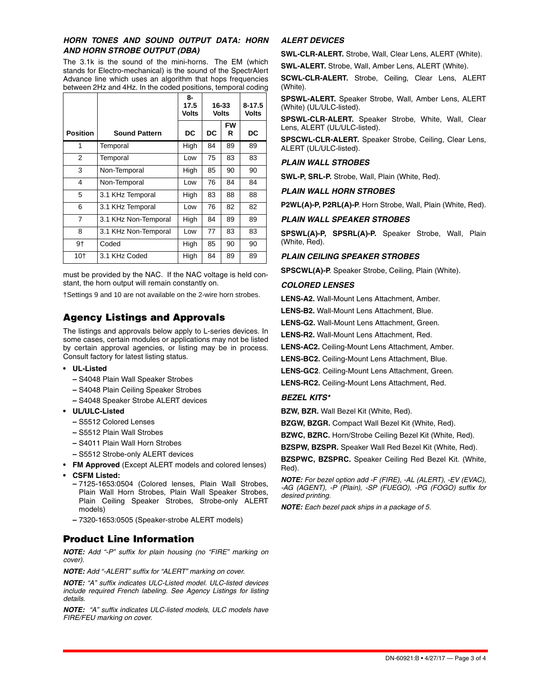### *HORN TONES AND SOUND OUTPUT DATA: HORN AND HORN STROBE OUTPUT (DBA)*

The 3.1k is the sound of the mini-horns. The EM (which stands for Electro-mechanical) is the sound of the SpectrAlert Advance line which uses an algorithm that hops frequencies between 2Hz and 4Hz. In the coded positions, temporal coding

|                 |                      | 8-<br>17.5<br><b>Volts</b> | 16-33<br><b>Volts</b> | $8 - 17.5$<br><b>Volts</b> |    |
|-----------------|----------------------|----------------------------|-----------------------|----------------------------|----|
| <b>Position</b> | <b>Sound Pattern</b> | DC                         | DC                    | DC                         |    |
| 1               | Temporal             | High                       | 84                    | 89                         | 89 |
| 2               | Temporal             | Low                        | 75                    | 83                         | 83 |
| 3               | Non-Temporal         | High                       | 85                    | 90                         | 90 |
| 4               | Non-Temporal         | Low                        | 76                    | 84                         | 84 |
| 5               | 3.1 KHz Temporal     | High                       | 83                    | 88                         | 88 |
| 6               | 3.1 KHz Temporal     | Low                        | 76                    | 82                         | 82 |
| 7               | 3.1 KHz Non-Temporal | High                       | 84                    | 89                         | 89 |
| 8               | 3.1 KHz Non-Temporal | Low                        | 77                    | 83                         | 83 |
| 9†              | Coded                | High                       | 85                    | 90                         | 90 |
| 10†             | 3.1 KHz Coded        | High                       | 84                    | 89                         | 89 |

must be provided by the NAC. If the NAC voltage is held constant, the horn output will remain constantly on.

†Settings 9 and 10 are not available on the 2-wire horn strobes.

## **Agency Listings and Approvals**

The listings and approvals below apply to L-series devices. In some cases, certain modules or applications may not be listed by certain approval agencies, or listing may be in process. Consult factory for latest listing status.

- **UL-Listed**
	- **–** S4048 Plain Wall Speaker Strobes
	- **–** S4048 Plain Ceiling Speaker Strobes
	- **–** S4048 Speaker Strobe ALERT devices
- **UL/ULC-Listed**
	- **–** S5512 Colored Lenses
	- **–** S5512 Plain Wall Strobes
	- **–** S4011 Plain Wall Horn Strobes
	- **–** S5512 Strobe-only ALERT devices
- **FM Approved** (Except ALERT models and colored lenses)
- **CSFM Listed:** 
	- **–** 7125-1653:0504 (Colored lenses, Plain Wall Strobes, Plain Wall Horn Strobes, Plain Wall Speaker Strobes, Plain Ceiling Speaker Strobes, Strobe-only ALERT models)
	- **–** 7320-1653:0505 (Speaker-strobe ALERT models)

## **Product Line Information**

*NOTE: Add "-P" suffix for plain housing (no "FIRE" marking on cover).*

*NOTE: Add "-ALERT" suffix for "ALERT" marking on cover.*

*NOTE: "A" suffix indicates ULC-Listed model. ULC-listed devices include required French labeling. See Agency Listings for listing details.*

*NOTE: "A" suffix indicates ULC-listed models, ULC models have FIRE/FEU marking on cover.*

### *ALERT DEVICES*

**SWL-CLR-ALERT.** Strobe, Wall, Clear Lens, ALERT (White).

**SWL-ALERT.** Strobe, Wall, Amber Lens, ALERT (White).

**SCWL-CLR-ALERT.** Strobe, Ceiling, Clear Lens, ALERT (White).

**SPSWL-ALERT.** Speaker Strobe, Wall, Amber Lens, ALERT (White) (UL/ULC-listed).

**SPSWL-CLR-ALERT.** Speaker Strobe, White, Wall, Clear Lens, ALERT (UL/ULC-listed).

**SPSCWL-CLR-ALERT.** Speaker Strobe, Ceiling, Clear Lens, ALERT (UL/ULC-listed).

#### *PLAIN WALL STROBES*

**SWL-P, SRL-P.** Strobe, Wall, Plain (White, Red).

#### *PLAIN WALL HORN STROBES*

**P2WL(A)-P, P2RL(A)-P**. Horn Strobe, Wall, Plain (White, Red).

#### *PLAIN WALL SPEAKER STROBES*

**SPSWL(A)-P, SPSRL(A)-P.** Speaker Strobe, Wall, Plain (White, Red).

#### *PLAIN CEILING SPEAKER STROBES*

**SPSCWL(A)-P**. Speaker Strobe, Ceiling, Plain (White).

#### *COLORED LENSES*

**LENS-A2.** Wall-Mount Lens Attachment, Amber.

**LENS-B2.** Wall-Mount Lens Attachment, Blue.

**LENS-G2.** Wall-Mount Lens Attachment, Green.

**LENS-R2.** Wall-Mount Lens Attachment, Red.

**LENS-AC2.** Ceiling-Mount Lens Attachment, Amber.

**LENS-BC2.** Ceiling-Mount Lens Attachment, Blue.

**LENS-GC2**. Ceiling-Mount Lens Attachment, Green.

**LENS-RC2.** Ceiling-Mount Lens Attachment, Red.

#### *BEZEL KITS\**

**BZW, BZR.** Wall Bezel Kit (White, Red).

**BZGW, BZGR.** Compact Wall Bezel Kit (White, Red).

**BZWC, BZRC.** Horn/Strobe Ceiling Bezel Kit (White, Red).

**BZSPW, BZSPR.** Speaker Wall Red Bezel Kit (White, Red).

**BZSPWC, BZSPRC.** Speaker Ceiling Red Bezel Kit. (White, Red).

*NOTE: For bezel option add -F (FIRE), -AL (ALERT), -EV (EVAC), -AG (AGENT), -P (Plain), -SP (FUEGO), -PG (FOGO) suffix for desired printing.* 

*NOTE: Each bezel pack ships in a package of 5.*